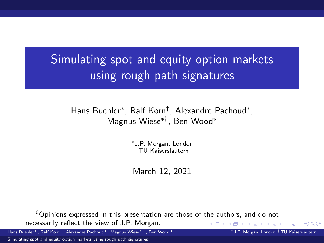<span id="page-0-0"></span>Simulating spot and equity option markets using rough path signatures

Hans Buehler<sup>∗</sup> , Ralf Korn† , Alexandre Pachoud<sup>∗</sup> , Magnus Wiese∗†, Ben Wood<sup>∗</sup>

> ∗ J.P. Morgan, London †TU Kaiserslautern

March 12, 2021

 $\Omega$ 

 $0$ Opinions expressed in this presentation are those of the authors, and do not necessarily reflect the view of J.P. Morgan. (ロト (母) (ヨ) (ヨ)

Hans Buehler∗, Ralf Korn†, Alexandre Pachoud∗, Magnus Wiese∗†, Ben Wood∗ ∗J.P. Morgan, London †TU Kaiserslautern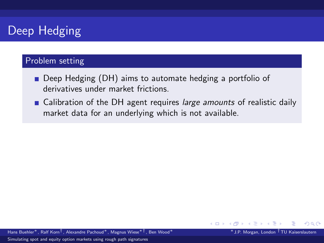# Deep Hedging

### Problem setting

- Deep Hedging (DH) aims to automate hedging a portfolio of derivatives under market frictions.
- Calibration of the DH agent requires large amounts of realistic daily market data for an underlying which is not available.

∢ ロ ▶ 《 母 》 《 ヨ 》 《 ヨ

つのへ

Hans Buehler∗, Ralf Korn†, Alexandre Pachoud∗, Magnus Wiese∗†, Ben Wood∗ ∗J.P. Morgan, London †TU Kaiserslautern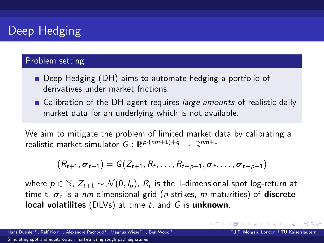# Deep Hedging

### Problem setting

- Deep Hedging (DH) aims to automate hedging a portfolio of derivatives under market frictions.
- Calibration of the DH agent requires large amounts of realistic daily market data for an underlying which is not available.

We aim to mitigate the problem of limited market data by calibrating a realistic market simulator  $\,G: \mathbb{R}^{p \cdot (nm+1)+q} \rightarrow \mathbb{R}^{nm+1}$ 

$$
(R_{t+1}, \sigma_{t+1}) = G(Z_{t+1}, R_t, \ldots, R_{t-p+1}, \sigma_t, \ldots, \sigma_{t-p+1})
$$

where  $p\in\mathbb{N}$ ,  $Z_{t+1}\sim\mathcal{N}(0,I_q)$ ,  $R_t$  is the 1-dimensional spot log-return at time t,  $\bm{\sigma}_t$  is a *nm*-dimensional grid (*n* strikes, *m* maturities) of  $\bm{{\sf discrete}}$ local volatilites (DLVs) at time  $t$ , and  $G$  is unknown.

Hans Buehler∗, Ralf Korn†, Alexandre Pachoud∗, Magnus Wiese∗†, Ben Wood∗ ∗J.P. Morgan, London †TU Kaiserslautern

つひひ

イロト イ押ト イヨト イヨト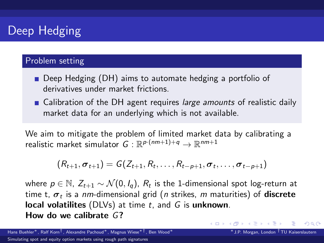# Deep Hedging

### Problem setting

- Deep Hedging (DH) aims to automate hedging a portfolio of derivatives under market frictions.
- Calibration of the DH agent requires large amounts of realistic daily market data for an underlying which is not available.

We aim to mitigate the problem of limited market data by calibrating a realistic market simulator  $\,G: \mathbb{R}^{p \cdot (nm+1)+q} \rightarrow \mathbb{R}^{nm+1}$ 

$$
(R_{t+1}, \sigma_{t+1}) = G(Z_{t+1}, R_t, \ldots, R_{t-p+1}, \sigma_t, \ldots, \sigma_{t-p+1})
$$

where  $p\in\mathbb{N}$ ,  $Z_{t+1}\sim\mathcal{N}(0,I_q)$ ,  $R_t$  is the 1-dimensional spot log-return at time t,  $\bm{\sigma}_t$  is a *nm*-dimensional grid (*n* strikes, *m* maturities) of  $\bm{{\sf discrete}}$ local volatilites (DLVs) at time  $t$ , and  $G$  is unknown. How do we calibrate G?

イロト イ押ト イヨト イヨ

つひひ

Hans Buehler∗, Ralf Korn†, Alexandre Pachoud∗, Magnus Wiese∗†, Ben Wood∗ ∗J.P. Morgan, London †TU Kaiserslautern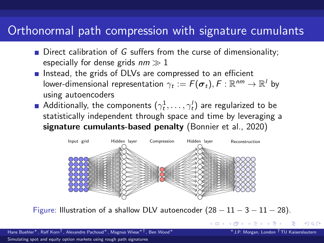## Orthonormal path compression with signature cumulants

- $\blacksquare$  Direct calibration of G suffers from the curse of dimensionality; especially for dense grids  $nm \gg 1$
- Instead, the grids of DLVs are compressed to an efficient lower-dimensional representation  $\gamma_t := \digamma(\bm{\sigma}_t), \digamma : \mathbb{R}^{nm} \to \mathbb{R}^l$  by using autoencoders
- Additionally, the components  $(\gamma^1_t,\ldots,\gamma'_t)$  are regularized to be statistically independent through space and time by leveraging a signature cumulants-based penalty (Bonnier et al., 2020)



Figure: Illustration of a shallow DLV autoencoder  $(28 - 11 - 3 - 11 - 28)$ .

**イロト イ母ト イヨト** 

 $\Omega$ 

Hans Buehler∗, Ralf Korn†, Alexandre Pachoud∗, Magnus Wiese∗†, Ben Wood∗ ∗J.P. Morgan, London †TU Kaiserslautern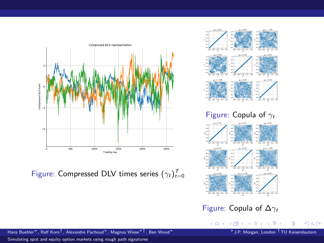

Figure: Compressed DLV times series  $(\gamma_t)_{t=0}^T$ 





Figure: Copula of  $\Delta\gamma_t$ 

メロトメ 倒 トメ ミトメ ヨト

Hans Buehler∗, Ralf Korn†, Alexandre Pachoud∗, Magnus Wiese∗†, Ben Wood∗ ∗J.P. Morgan, London †TU Kaiserslautern

[Simulating spot and equity option markets using rough path signatures](#page-0-0)

 $299$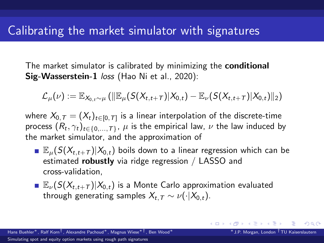## <span id="page-6-0"></span>Calibrating the market simulator with signatures

The market simulator is calibrated by minimizing the **conditional** Sig-Wasserstein-1 loss (Hao Ni et al., 2020):

$$
\mathcal{L}_{\mu}(\nu) := \mathbb{E}_{X_{0,t} \sim \mu} \left( \|\mathbb{E}_{\mu}(S(X_{t,t+T})|X_{0,t}) - \mathbb{E}_{\nu}(S(X_{t,t+T})|X_{0,t})\|_2 \right)
$$

where  $\mathcal{X}_{0,\, \mathcal{T}} = (X_t)_{t \in [0,\, \mathcal{T}]}$  is a linear interpolation of the discrete-time process  $(R_t,\gamma_t)_{t\in\{0,...,T\}},\,\mu$  is the empirical law,  $\nu$  the law induced by the market simulator, and the approximation of

- $\mathbb{E}_{\mu}(S(X_{t,t+T})|X_{0,t})$  boils down to a linear regression which can be estimated **robustly** via ridge regression / LASSO and cross-validation,
- $\mathbb{E}_{\nu}(S(X_{t,t+T})|X_{0,t})$  is a Monte Carlo approximation evaluated through generating samples  $X_{t,T} \sim \nu(\cdot|X_{0,t})$ .

イロト イ押ト イヨト イヨ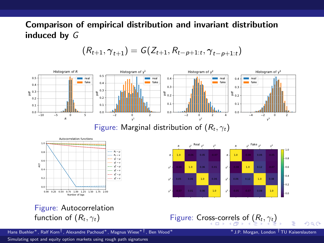### <span id="page-7-0"></span>Comparison of empirical distribution and invariant distribution induced by G

$$
(R_{t+1}, \gamma_{t+1}) = G(Z_{t+1}, R_{t-p+1:t}, \gamma_{t-p+1:t})
$$



 $QQ$ 

Hans Buehler∗, Ralf Korn†, Alexandre Pachoud∗, Magnus Wiese∗†, Ben Wood∗ ∗J.P. Morgan, London †TU Kaiserslautern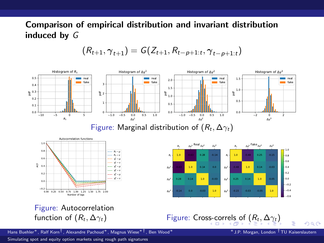### <span id="page-8-0"></span>Comparison of empirical distribution and invariant distribution induced by G

$$
(R_{t+1}, \gamma_{t+1}) = G(Z_{t+1}, R_{t-p+1:t}, \gamma_{t-p+1:t})
$$



 $QQ$ 

Hans Buehler∗, Ralf Korn†, Alexandre Pachoud∗, Magnus Wiese∗†, Ben Wood∗ ∗J.P. Morgan, London †TU Kaiserslautern